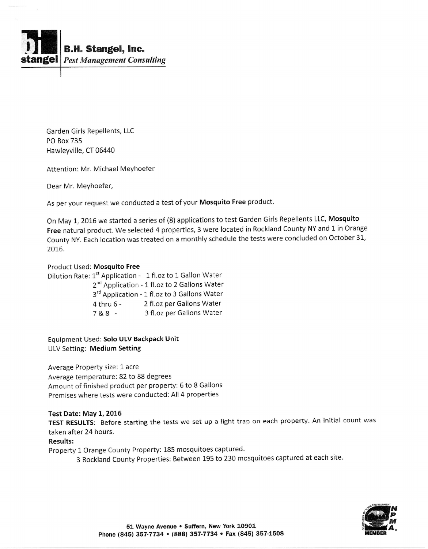

Garden Girls Repellents, LLC PO Box 735 Hawleyville, CT 06440

Attention: Mr- Michael Meyhoefer

Dear Mr. Meyhoefer,

As per your request we conducted a test of your Mosquito Free product.

On May 1, 2016 we started a series of (8) applications to test Garden Girls Repellents LLC, Mosquito Free natural product. We selected 4 properties, 3 were located in Rockland County NY and 1 in Orange County NY. Each location was treated on a monthly schedule the tests were concluded on October 31, 2016.

## Product Used: Mosquito Free

Dilution Rate: 1<sup>st</sup> Application - 1 fl.oz to 1 Gallon Water 2<sup>nd</sup> Application - 1 fl.oz to 2 Gallons Water 3<sup>rd</sup> Application - 1 fl.oz to 3 Gallons Water  $4$  thru  $6-$ 7&8 - 2fl.oz per Gallons Water 3 fl.oz per Gallons Water

Equipment Used; Solo ULV Backpack Unit ULV Setting: Medium Setting

Average Property size: 1 acre Average temperature: 82 to 88 degrees Amount of finished product per property: 5 to 8 Gallons Premises where tests were conducted: All 4 properties

## Test Date: May L, 2016

TEST RESULTS: Before starting the tests we set up a light trap on each property. An initial count was taken after 24 hours.

## Results:

Property 1 Orange County Property: 185 mosquitoes captured.

3 Rockland County Properties: Between 195 to 230 mosquitoes captured at each site.